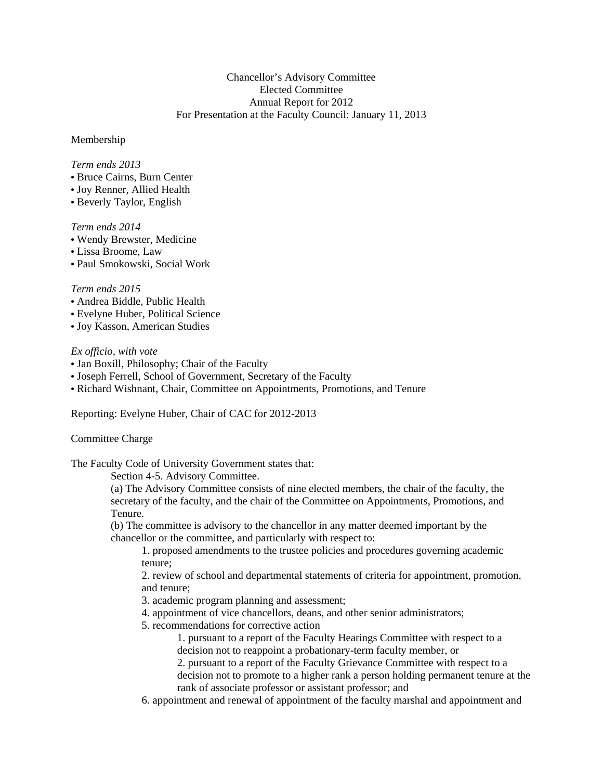## Chancellor's Advisory Committee Elected Committee Annual Report for 2012 For Presentation at the Faculty Council: January 11, 2013

#### Membership

# *Term ends 2013*

- Bruce Cairns, Burn Center
- Joy Renner, Allied Health
- Beverly Taylor, English

## *Term ends 2014*

- Wendy Brewster, Medicine
- Lissa Broome, Law
- Paul Smokowski, Social Work

# *Term ends 2015*

- Andrea Biddle, Public Health
- Evelyne Huber, Political Science
- Joy Kasson, American Studies

## *Ex officio, with vote*

- Jan Boxill, Philosophy; Chair of the Faculty
- Joseph Ferrell, School of Government, Secretary of the Faculty
- Richard Wishnant, Chair, Committee on Appointments, Promotions, and Tenure

Reporting: Evelyne Huber, Chair of CAC for 2012-2013

# Committee Charge

The Faculty Code of University Government states that:

Section 4-5. Advisory Committee.

(a) The Advisory Committee consists of nine elected members, the chair of the faculty, the secretary of the faculty, and the chair of the Committee on Appointments, Promotions, and Tenure.

(b) The committee is advisory to the chancellor in any matter deemed important by the chancellor or the committee, and particularly with respect to:

1. proposed amendments to the trustee policies and procedures governing academic tenure;

2. review of school and departmental statements of criteria for appointment, promotion, and tenure;

3. academic program planning and assessment;

- 4. appointment of vice chancellors, deans, and other senior administrators;
- 5. recommendations for corrective action
	- 1. pursuant to a report of the Faculty Hearings Committee with respect to a decision not to reappoint a probationary-term faculty member, or
	- 2. pursuant to a report of the Faculty Grievance Committee with respect to a decision not to promote to a higher rank a person holding permanent tenure at the rank of associate professor or assistant professor; and
- 6. appointment and renewal of appointment of the faculty marshal and appointment and